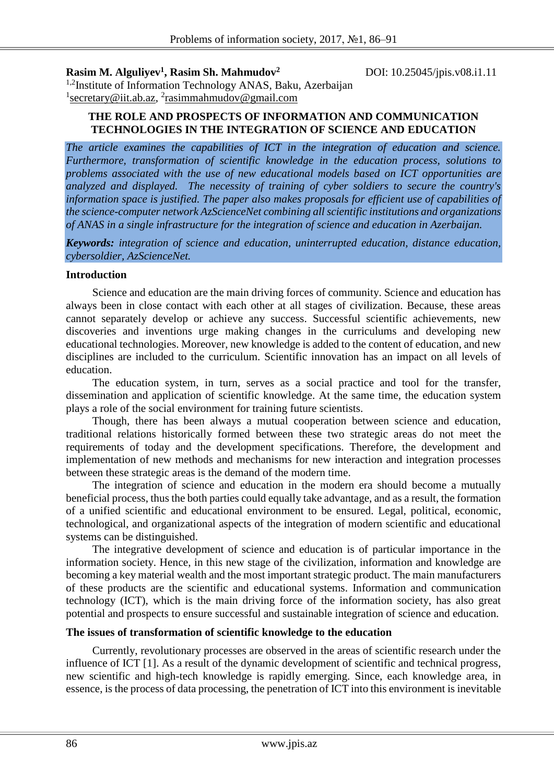**Rasim M. Alguliyev<sup>1</sup>**

**, Rasim Sh. Mahmudov<sup>2</sup>** DOI: 10.25045/jpis.v08.i1.11

<sup>1,2</sup>Institute of Information Technology ANAS, Baku, Azerbaijan <sup>1</sup>secretary@iit.ab.az, <sup>2</sup>[rasimmahmudov@gmail.com](mailto:2rasimmahmudov@gmail.com)

## **THE ROLE AND PROSPECTS OF INFORMATION AND COMMUNICATION TECHNOLOGIES IN THE INTEGRATION OF SCIENCE AND EDUCATION**

*The article examines the capabilities of ICT in the integration of education and science. Furthermore, transformation of scientific knowledge in the education process, solutions to problems associated with the use of new educational models based on ICT opportunities are analyzed and displayed. The necessity of training of cyber soldiers to secure the country's*  information space is justified. The paper also makes proposals for efficient use of capabilities of *the science-computer network AzScienceNet combining all scientific institutions and organizations of ANAS in a single infrastructure for the integration of science and education in Azerbaijan.* 

*Keywords: integration of science and education, uninterrupted education, distance education, cybersoldier, AzScienceNet.*

#### **Introduction**

Science and education are the main driving forces of community. Science and education has always been in close contact with each other at all stages of civilization. Because, these areas cannot separately develop or achieve any success. Successful scientific achievements, new discoveries and inventions urge making changes in the curriculums and developing new educational technologies. Moreover, new knowledge is added to the content of education, and new disciplines are included to the curriculum. Scientific innovation has an impact on all levels of education.

The education system, in turn, serves as a social practice and tool for the transfer, dissemination and application of scientific knowledge. At the same time, the education system plays a role of the social environment for training future scientists.

Though, there has been always a mutual cooperation between science and education, traditional relations historically formed between these two strategic areas do not meet the requirements of today and the development specifications. Therefore, the development and implementation of new methods and mechanisms for new interaction and integration processes between these strategic areas is the demand of the modern time.

The integration of science and education in the modern era should become a mutually beneficial process, thus the both parties could equally take advantage, and as a result, the formation of a unified scientific and educational environment to be ensured. Legal, political, economic, technological, and organizational aspects of the integration of modern scientific and educational systems can be distinguished.

The integrative development of science and education is of particular importance in the information society. Hence, in this new stage of the civilization, information and knowledge are becoming a key material wealth and the most important strategic product. The main manufacturers of these products are the scientific and educational systems. Information and communication technology (ICT), which is the main driving force of the information society, has also great potential and prospects to ensure successful and sustainable integration of science and education.

## **The issues of transformation of scientific knowledge to the education**

Currently, revolutionary processes are observed in the areas of scientific research under the influence of ICT [1]. As a result of the dynamic development of scientific and technical progress, new scientific and high-tech knowledge is rapidly emerging. Since, each knowledge area, in essence, is the process of data processing, the penetration of ICT into this environment is inevitable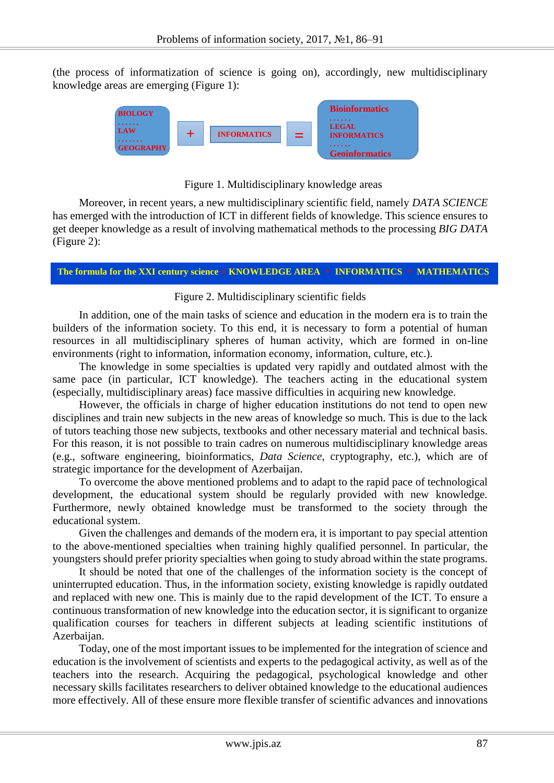(the process of informatization of science is going on), accordingly, new multidisciplinary knowledge areas are emerging (Figure 1):



# Figure 1. Multidisciplinary knowledge areas

Moreover, in recent years, a new multidisciplinary scientific field, namely *DATA SCIENCE* has emerged with the introduction of ICT in different fields of knowledge. This science ensures to get deeper knowledge as a result of involving mathematical methods to the processing *BIG DATA* (Figure 2):

#### **The formula for the XXI century science = KNOWLEDGE AREA + INFORMATICS + MATHEMATICS**

# Figure 2. Multidisciplinary scientific fields

In addition, one of the main tasks of science and education in the modern era is to train the builders of the information society. To this end, it is necessary to form a potential of human resources in all multidisciplinary spheres of human activity, which are formed in on-line environments (right to information, information economy, information, culture, etc.).

The knowledge in some specialties is updated very rapidly and outdated almost with the same pace (in particular, ICT knowledge). The teachers acting in the educational system (especially, multidisciplinary areas) face massive difficulties in acquiring new knowledge.

However, the officials in charge of higher education institutions do not tend to open new disciplines and train new subjects in the new areas of knowledge so much. This is due to the lack of tutors teaching those new subjects, textbooks and other necessary material and technical basis. For this reason, it is not possible to train cadres on numerous multidisciplinary knowledge areas (e.g., software engineering, bioinformatics, *Data Science*, cryptography, etc.), which are of strategic importance for the development of Azerbaijan.

To overcome the above mentioned problems and to adapt to the rapid pace of technological development, the educational system should be regularly provided with new knowledge. Furthermore, newly obtained knowledge must be transformed to the society through the educational system.

Given the challenges and demands of the modern era, it is important to pay special attention to the above-mentioned specialties when training highly qualified personnel. In particular, the youngsters should prefer priority specialties when going to study abroad within the state programs.

It should be noted that one of the challenges of the information society is the concept of uninterrupted education. Thus, in the information society, existing knowledge is rapidly outdated and replaced with new one. This is mainly due to the rapid development of the ICT. To ensure a continuous transformation of new knowledge into the education sector, it is significant to organize qualification courses for teachers in different subjects at leading scientific institutions of Azerbaijan.

Today, one of the most important issues to be implemented for the integration of science and education is the involvement of scientists and experts to the pedagogical activity, as well as of the teachers into the research. Acquiring the pedagogical, psychological knowledge and other necessary skills facilitates researchers to deliver obtained knowledge to the educational audiences more effectively. All of these ensure more flexible transfer of scientific advances and innovations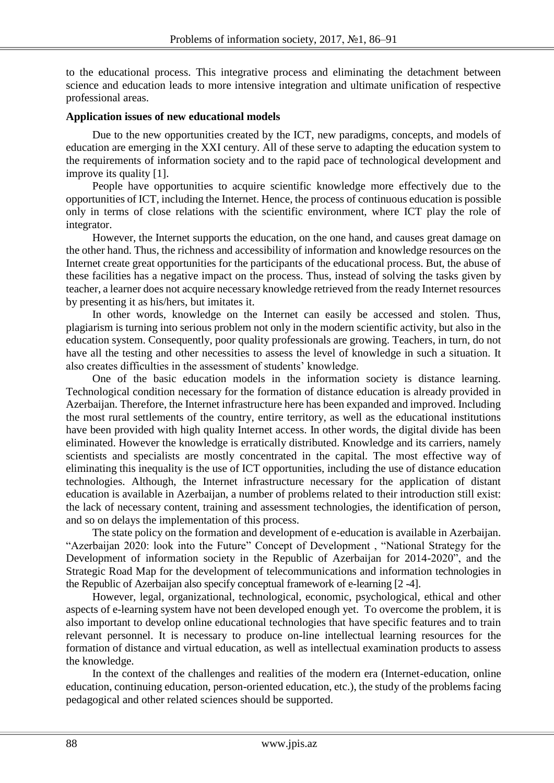to the educational process. This integrative process and eliminating the detachment between science and education leads to more intensive integration and ultimate unification of respective professional areas.

#### **Application issues of new educational models**

Due to the new opportunities created by the ICT, new paradigms, concepts, and models of education are emerging in the XXI century. All of these serve to adapting the education system to the requirements of information society and to the rapid pace of technological development and improve its quality [1].

People have opportunities to acquire scientific knowledge more effectively due to the opportunities of ICT, including the Internet. Hence, the process of continuous education is possible only in terms of close relations with the scientific environment, where ICT play the role of integrator.

However, the Internet supports the education, on the one hand, and causes great damage on the other hand. Thus, the richness and accessibility of information and knowledge resources on the Internet create great opportunities for the participants of the educational process. But, the abuse of these facilities has a negative impact on the process. Thus, instead of solving the tasks given by teacher, a learner does not acquire necessary knowledge retrieved from the ready Internet resources by presenting it as his/hers, but imitates it.

In other words, knowledge on the Internet can easily be accessed and stolen. Thus, plagiarism is turning into serious problem not only in the modern scientific activity, but also in the education system. Consequently, poor quality professionals are growing. Teachers, in turn, do not have all the testing and other necessities to assess the level of knowledge in such a situation. It also creates difficulties in the assessment of students' knowledge.

One of the basic education models in the information society is distance learning. Technological condition necessary for the formation of distance education is already provided in Azerbaijan. Therefore, the Internet infrastructure here has been expanded and improved. Including the most rural settlements of the country, entire territory, as well as the educational institutions have been provided with high quality Internet access. In other words, the digital divide has been eliminated. However the knowledge is erratically distributed. Knowledge and its carriers, namely scientists and specialists are mostly concentrated in the capital. The most effective way of eliminating this inequality is the use of ICT opportunities, including the use of distance education technologies. Although, the Internet infrastructure necessary for the application of distant education is available in Azerbaijan, a number of problems related to their introduction still exist: the lack of necessary content, training and assessment technologies, the identification of person, and so on delays the implementation of this process.

The state policy on the formation and development of e-education is available in Azerbaijan. "Azerbaijan 2020: look into the Future" Concept of Development , "National Strategy for the Development of information society in the Republic of Azerbaijan for 2014-2020", and the Strategic Road Map for the development of telecommunications and information technologies in the Republic of Azerbaijan also specify conceptual framework of e-learning [2 -4].

However, legal, organizational, technological, economic, psychological, ethical and other aspects of e-learning system have not been developed enough yet. To overcome the problem, it is also important to develop online educational technologies that have specific features and to train relevant personnel. It is necessary to produce on-line intellectual learning resources for the formation of distance and virtual education, as well as intellectual examination products to assess the knowledge.

In the context of the challenges and realities of the modern era (Internet-education, online education, continuing education, person-oriented education, etc.), the study of the problems facing pedagogical and other related sciences should be supported.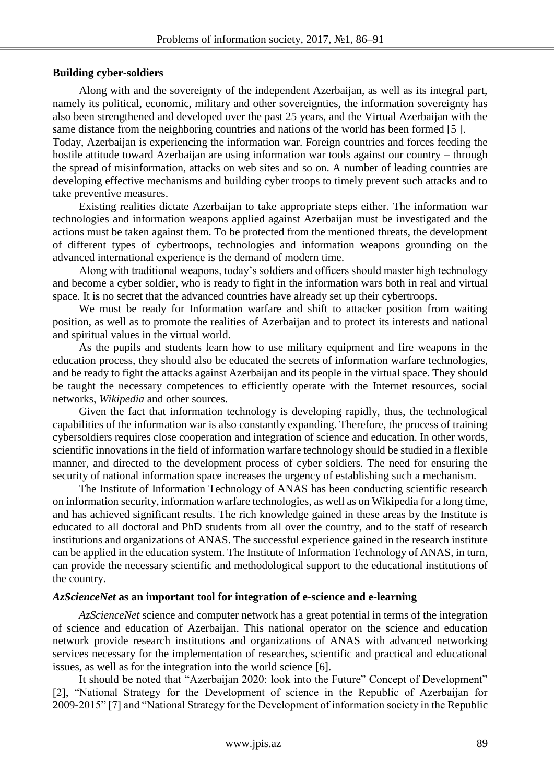#### **Building cyber-soldiers**

Along with and the sovereignty of the independent Azerbaijan, as well as its integral part, namely its political, economic, military and other sovereignties, the information sovereignty has also been strengthened and developed over the past 25 years, and the Virtual Azerbaijan with the same distance from the neighboring countries and nations of the world has been formed [5 ].

Today, Azerbaijan is experiencing the information war. Foreign countries and forces feeding the hostile attitude toward Azerbaijan are using information war tools against our country – through the spread of misinformation, attacks on web sites and so on. A number of leading countries are developing effective mechanisms and building cyber troops to timely prevent such attacks and to take preventive measures.

Existing realities dictate Azerbaijan to take appropriate steps either. The information war technologies and information weapons applied against Azerbaijan must be investigated and the actions must be taken against them. To be protected from the mentioned threats, the development of different types of cybertroops, technologies and information weapons grounding on the advanced international experience is the demand of modern time.

Along with traditional weapons, today's soldiers and officers should master high technology and become a cyber soldier, who is ready to fight in the information wars both in real and virtual space. It is no secret that the advanced countries have already set up their cybertroops.

We must be ready for Information warfare and shift to attacker position from waiting position, as well as to promote the realities of Azerbaijan and to protect its interests and national and spiritual values in the virtual world.

As the pupils and students learn how to use military equipment and fire weapons in the education process, they should also be educated the secrets of information warfare technologies, and be ready to fight the attacks against Azerbaijan and its people in the virtual space. They should be taught the necessary competences to efficiently operate with the Internet resources, social networks, *Wikipedia* and other sources.

Given the fact that information technology is developing rapidly, thus, the technological capabilities of the information war is also constantly expanding. Therefore, the process of training cybersoldiers requires close cooperation and integration of science and education. In other words, scientific innovations in the field of information warfare technology should be studied in a flexible manner, and directed to the development process of cyber soldiers. The need for ensuring the security of national information space increases the urgency of establishing such a mechanism.

The Institute of Information Technology of ANAS has been conducting scientific research on information security, information warfare technologies, as well as on Wikipedia for a long time, and has achieved significant results. The rich knowledge gained in these areas by the Institute is educated to all doctoral and PhD students from all over the country, and to the staff of research institutions and organizations of ANAS. The successful experience gained in the research institute can be applied in the education system. The Institute of Information Technology of ANAS, in turn, can provide the necessary scientific and methodological support to the educational institutions of the country.

#### *AzScienceNet* **as an important tool for integration of e-science and e-learning**

*AzScienceNet* science and computer network has a great potential in terms of the integration of science and education of Azerbaijan. This national operator on the science and education network provide research institutions and organizations of ANAS with advanced networking services necessary for the implementation of researches, scientific and practical and educational issues, as well as for the integration into the world science [6].

It should be noted that "Azerbaijan 2020: look into the Future" Concept of Development" [2], "National Strategy for the Development of science in the Republic of Azerbaijan for 2009-2015" [7] and "National Strategy for the Development of information society in the Republic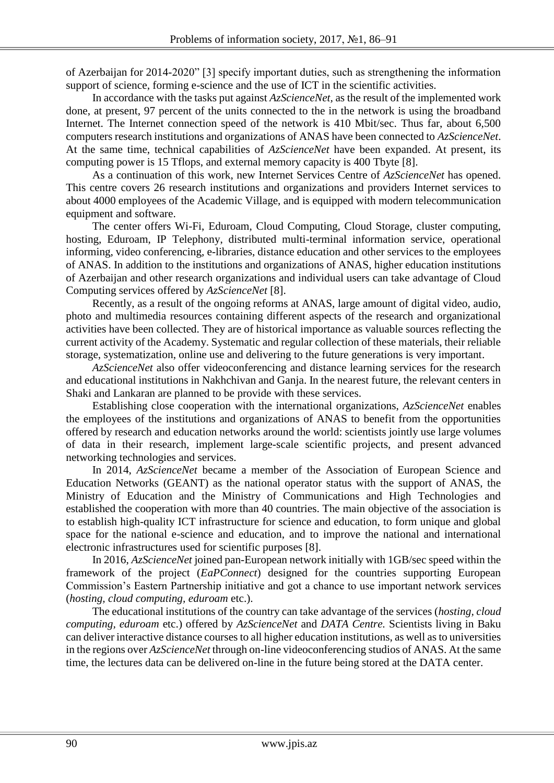of Azerbaijan for 2014-2020" [3] specify important duties, such as strengthening the information support of science, forming e-science and the use of ICT in the scientific activities.

In accordance with the tasks put against *AzScienceNet,* as the result of the implemented work done, at present, 97 percent of the units connected to the in the network is using the broadband Internet. The Internet connection speed of the network is 410 Mbit/sec. Thus far, about 6,500 computers research institutions and organizations of ANAS have been connected to *AzScienceNet*. At the same time, technical capabilities of *AzScienceNet* have been expanded. At present, its computing power is 15 Tflops, and external memory capacity is 400 Tbyte [8].

As a continuation of this work, new Internet Services Centre of *AzScienceNet* has opened. This centre covers 26 research institutions and organizations and providers Internet services to about 4000 employees of the Academic Village, and is equipped with modern telecommunication equipment and software.

The center offers Wi-Fi, Eduroam, Cloud Computing, Cloud Storage, cluster computing, hosting, Eduroam, IP Telephony, distributed multi-terminal information service, operational informing, video conferencing, e-libraries, distance education and other services to the employees of ANAS. In addition to the institutions and organizations of ANAS, higher education institutions of Azerbaijan and other research organizations and individual users can take advantage of Cloud Computing services offered by *AzScienceNet* [8].

Recently, as a result of the ongoing reforms at ANAS, large amount of digital video, audio, photo and multimedia resources containing different aspects of the research and organizational activities have been collected. They are of historical importance as valuable sources reflecting the current activity of the Academy. Systematic and regular collection of these materials, their reliable storage, systematization, online use and delivering to the future generations is very important.

*AzScienceNet* also offer videoconferencing and distance learning services for the research and educational institutions in Nakhchivan and Ganja. In the nearest future, the relevant centers in Shaki and Lankaran are planned to be provide with these services.

Establishing close cooperation with the international organizations, *AzScienceNet* enables the employees of the institutions and organizations of ANAS to benefit from the opportunities offered by research and education networks around the world: scientists jointly use large volumes of data in their research, implement large-scale scientific projects, and present advanced networking technologies and services.

In 2014, *AzScienceNet* became a member of the Association of European Science and Education Networks (GEANT) as the national operator status with the support of ANAS, the Ministry of Education and the Ministry of Communications and High Technologies and established the cooperation with more than 40 countries. The main objective of the association is to establish high-quality ICT infrastructure for science and education, to form unique and global space for the national e-science and education, and to improve the national and international electronic infrastructures used for scientific purposes [8].

In 2016, *AzScienceNet* joined pan-European network initially with 1GB/sec speed within the framework of the project (*EaPConnect*) designed for the countries supporting European Commission's Eastern Partnership initiative and got a chance to use important network services (*hosting, cloud computing, eduroam* etc.).

The educational institutions of the country can take advantage of the services (*hosting, cloud computing, eduroam* etc.) offered by *AzScienceNet* and *DATA Centre.* Scientists living in Baku can deliver interactive distance courses to all higher education institutions, as well as to universities in the regions over *AzScienceNet* through on-line videoconferencing studios of ANAS. At the same time, the lectures data can be delivered on-line in the future being stored at the DATA center.